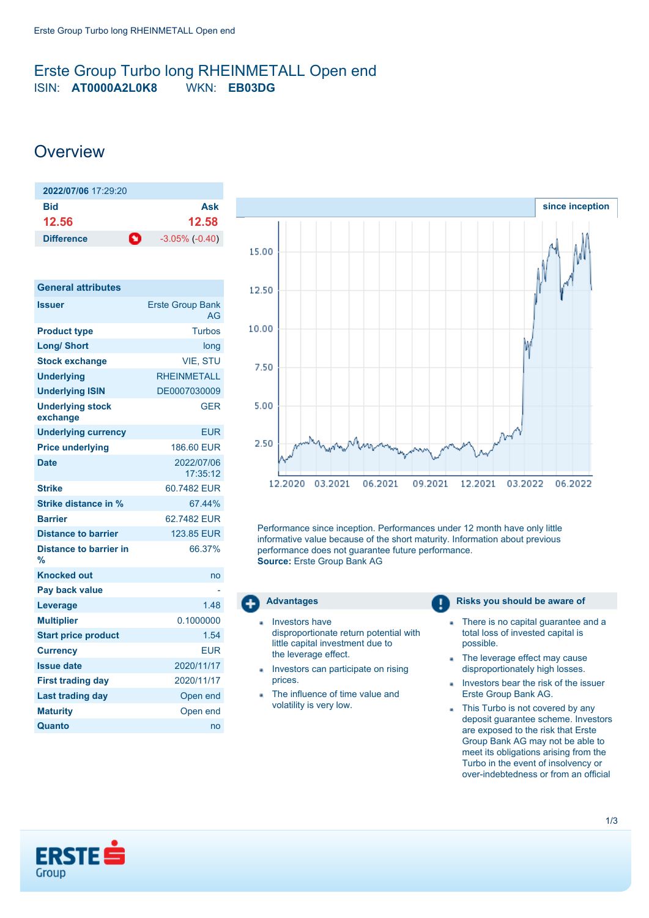## <span id="page-0-0"></span>Erste Group Turbo long RHEINMETALL Open end ISIN: **AT0000A2L0K8** WKN: **EB03DG**

# **Overview**

| $2022/07/06$ 17:29:20          |                     |
|--------------------------------|---------------------|
| Bid                            | Ask                 |
| 12.56                          | 12.58               |
| $\bullet$<br><b>Difference</b> | $-3.05\%$ $(-0.40)$ |

| <b>General attributes</b>           |                               |
|-------------------------------------|-------------------------------|
| <b>Issuer</b>                       | <b>Erste Group Bank</b><br>AG |
| <b>Product type</b>                 | <b>Turbos</b>                 |
| <b>Long/ Short</b>                  | long                          |
| <b>Stock exchange</b>               | <b>VIE. STU</b>               |
| <b>Underlying</b>                   | <b>RHEINMETALL</b>            |
| <b>Underlying ISIN</b>              | DE0007030009                  |
| <b>Underlying stock</b><br>exchange | <b>GER</b>                    |
| <b>Underlying currency</b>          | EUR                           |
| <b>Price underlying</b>             | 186,60 EUR                    |
| <b>Date</b>                         | 2022/07/06<br>17:35:12        |
| <b>Strike</b>                       | 60.7482 EUR                   |
| <b>Strike distance in %</b>         | 67.44%                        |
| <b>Barrier</b>                      | 62.7482 EUR                   |
| Distance to barrier                 | 123.85 EUR                    |
| Distance to barrier in<br>%         | 66.37%                        |
| <b>Knocked out</b>                  | no                            |
| Pay back value                      |                               |
| Leverage                            | 1.48                          |
| <b>Multiplier</b>                   | 0.1000000                     |
| <b>Start price product</b>          | 1.54                          |
| <b>Currency</b>                     | <b>FUR</b>                    |
| <b>Issue date</b>                   | 2020/11/17                    |
| <b>First trading day</b>            | 2020/11/17                    |
| <b>Last trading day</b>             | Open end                      |
| <b>Maturity</b>                     | Open end                      |
| Quanto                              | no                            |



Performance since inception. Performances under 12 month have only little informative value because of the short maturity. Information about previous performance does not guarantee future performance. **Source:** Erste Group Bank AG



- Investors have disproportionate return potential with little capital investment due to the leverage effect.
- Investors can participate on rising prices.
- The influence of time value and volatility is very low.

### **Advantages Risks you should be aware of Risks** you should be aware of

- There is no capital guarantee and a ä total loss of invested capital is possible.
- The leverage effect may cause × disproportionately high losses.
- Investors bear the risk of the issuer ä, Erste Group Bank AG.
- This Turbo is not covered by any deposit guarantee scheme. Investors are exposed to the risk that Erste Group Bank AG may not be able to meet its obligations arising from the Turbo in the event of insolvency or over-indebtedness or from an official

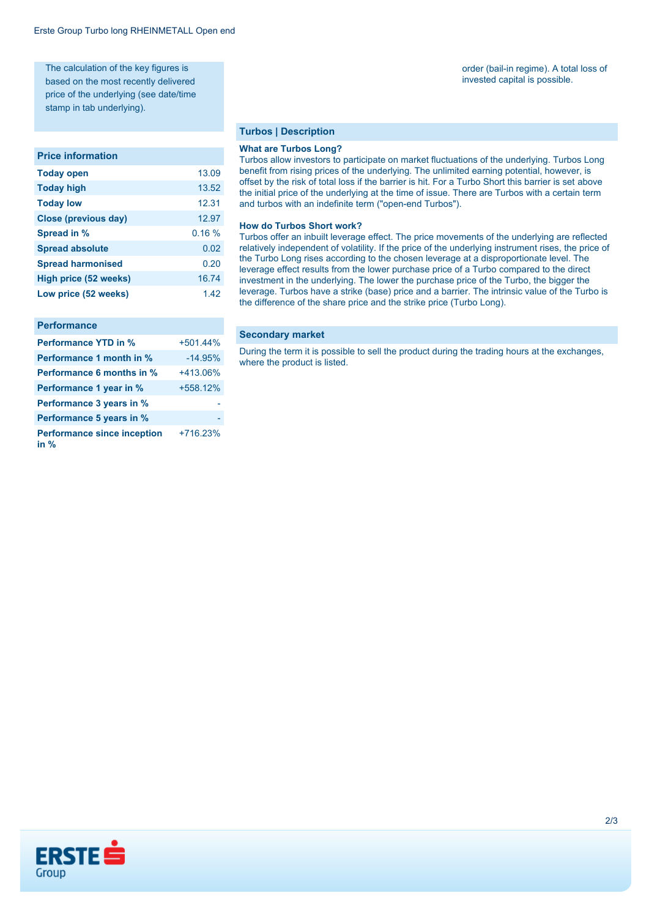The calculation of the key figures is based on the most recently delivered price of the underlying (see date/time stamp in tab underlying).

#### **Price information**

| <b>Today open</b>        | 13.09 |
|--------------------------|-------|
| <b>Today high</b>        | 13.52 |
| <b>Today low</b>         | 12.31 |
| Close (previous day)     | 12.97 |
| Spread in %              | 0.16% |
| <b>Spread absolute</b>   | 0.02  |
| <b>Spread harmonised</b> | 0.20  |
| High price (52 weeks)    | 16.74 |
| Low price (52 weeks)     | 1.42  |

#### **Performance**

| <b>Performance YTD in %</b>                | $+501.44%$ |
|--------------------------------------------|------------|
| Performance 1 month in %                   | $-14.95%$  |
| Performance 6 months in %                  | $+413.06%$ |
| Performance 1 year in %                    | +558.12%   |
| Performance 3 years in %                   |            |
| Performance 5 years in %                   |            |
| <b>Performance since inception</b><br>in % | +716.23%   |

#### **Turbos | Description**

#### **What are Turbos Long?**

Turbos allow investors to participate on market fluctuations of the underlying. Turbos Long benefit from rising prices of the underlying. The unlimited earning potential, however, is offset by the risk of total loss if the barrier is hit. For a Turbo Short this barrier is set above the initial price of the underlying at the time of issue. There are Turbos with a certain term and turbos with an indefinite term ("open-end Turbos").

#### **How do Turbos Short work?**

Turbos offer an inbuilt leverage effect. The price movements of the underlying are reflected relatively independent of volatility. If the price of the underlying instrument rises, the price of the Turbo Long rises according to the chosen leverage at a disproportionate level. The leverage effect results from the lower purchase price of a Turbo compared to the direct investment in the underlying. The lower the purchase price of the Turbo, the bigger the leverage. Turbos have a strike (base) price and a barrier. The intrinsic value of the Turbo is the difference of the share price and the strike price (Turbo Long).

#### **Secondary market**

During the term it is possible to sell the product during the trading hours at the exchanges, where the product is listed.



order (bail-in regime). A total loss of